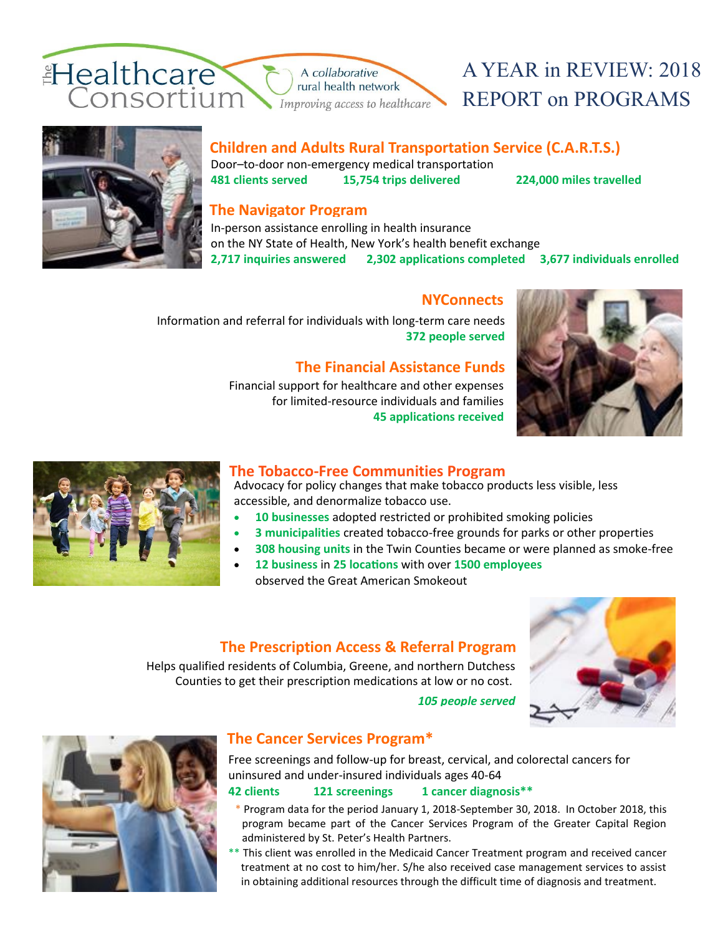

# A YEAR in REVIEW: 2018 REPORT on PROGRAMS



#### **Children and Adults Rural Transportation Service (C.A.R.T.S.)**

Door–to-door non-emergency medical transportation **481 clients served 15,754 trips delivered 224,000 miles travelled**

## **The Navigator Program**

In-person assistance enrolling in health insurance on the NY State of Health, New York's health benefit exchange **2,717 inquiries answered 2,302 applications completed 3,677 individuals enrolled**

#### **NYConnects**

 Information and referral for individuals with long-term care needs **372 people served**

## **The Financial Assistance Funds**

Financial support for healthcare and other expenses  for limited-resource individuals and families **45 applications received**





#### **The Tobacco-Free Communities Program**

Advocacy for policy changes that make tobacco products less visible, less accessible, and denormalize tobacco use.

- **10 businesses** adopted restricted or prohibited smoking policies
- **3 municipalities** created tobacco-free grounds for parks or other properties
- **308 housing units** in the Twin Counties became or were planned as smoke-free
- **12 business** in **25 locations** with over **1500 employees**  observed the Great American Smokeout

## **The Prescription Access & Referral Program**

Helps qualified residents of Columbia, Greene, and northern Dutchess Counties to get their prescription medications at low or no cost.

*105 people served*





## **The Cancer Services Program\***

Free screenings and follow-up for breast, cervical, and colorectal cancers for uninsured and under-insured individuals ages 40-64

#### **42 clients 121 screenings 1 cancer diagnosis\*\***

- \* Program data for the period January 1, 2018-September 30, 2018. In October 2018, this program became part of the Cancer Services Program of the Greater Capital Region administered by St. Peter's Health Partners.
- \*\* This client was enrolled in the Medicaid Cancer Treatment program and received cancer treatment at no cost to him/her. S/he also received case management services to assist in obtaining additional resources through the difficult time of diagnosis and treatment.